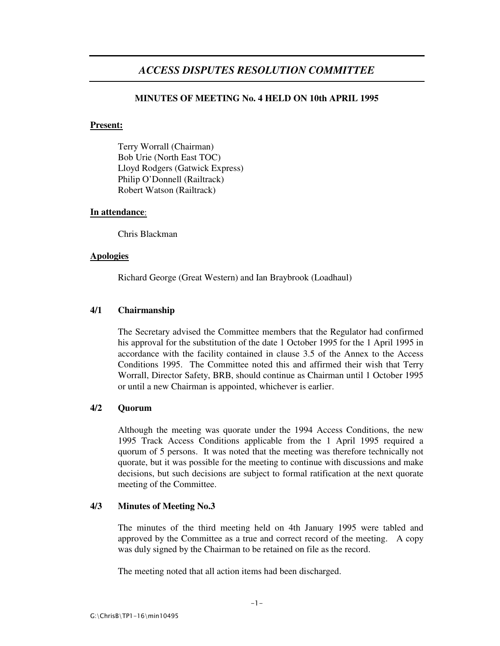# *ACCESS DISPUTES RESOLUTION COMMITTEE*

# **MINUTES OF MEETING No. 4 HELD ON 10th APRIL 1995**

# **Present:**

Terry Worrall (Chairman) Bob Urie (North East TOC) Lloyd Rodgers (Gatwick Express) Philip O'Donnell (Railtrack) Robert Watson (Railtrack)

#### **In attendance**:

Chris Blackman

# **Apologies**

Richard George (Great Western) and Ian Braybrook (Loadhaul)

# **4/1 Chairmanship**

The Secretary advised the Committee members that the Regulator had confirmed his approval for the substitution of the date 1 October 1995 for the 1 April 1995 in accordance with the facility contained in clause 3.5 of the Annex to the Access Conditions 1995. The Committee noted this and affirmed their wish that Terry Worrall, Director Safety, BRB, should continue as Chairman until 1 October 1995 or until a new Chairman is appointed, whichever is earlier.

# **4/2 Quorum**

Although the meeting was quorate under the 1994 Access Conditions, the new 1995 Track Access Conditions applicable from the 1 April 1995 required a quorum of 5 persons. It was noted that the meeting was therefore technically not quorate, but it was possible for the meeting to continue with discussions and make decisions, but such decisions are subject to formal ratification at the next quorate meeting of the Committee.

# **4/3 Minutes of Meeting No.3**

The minutes of the third meeting held on 4th January 1995 were tabled and approved by the Committee as a true and correct record of the meeting. A copy was duly signed by the Chairman to be retained on file as the record.

The meeting noted that all action items had been discharged.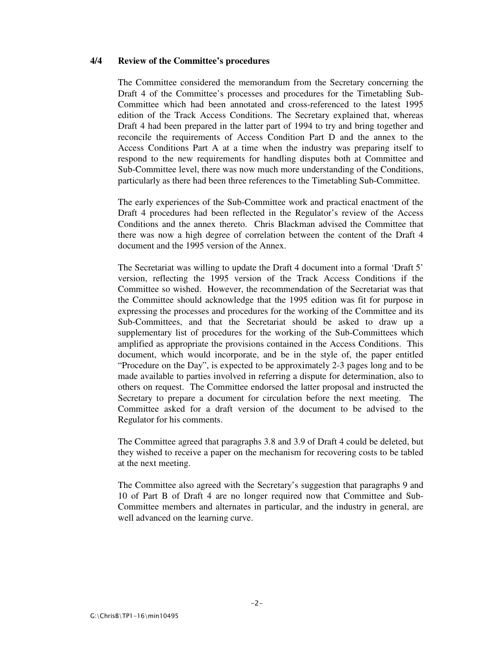#### **4/4 Review of the Committee's procedures**

The Committee considered the memorandum from the Secretary concerning the Draft 4 of the Committee's processes and procedures for the Timetabling Sub-Committee which had been annotated and cross-referenced to the latest 1995 edition of the Track Access Conditions. The Secretary explained that, whereas Draft 4 had been prepared in the latter part of 1994 to try and bring together and reconcile the requirements of Access Condition Part D and the annex to the Access Conditions Part A at a time when the industry was preparing itself to respond to the new requirements for handling disputes both at Committee and Sub-Committee level, there was now much more understanding of the Conditions, particularly as there had been three references to the Timetabling Sub-Committee.

The early experiences of the Sub-Committee work and practical enactment of the Draft 4 procedures had been reflected in the Regulator's review of the Access Conditions and the annex thereto. Chris Blackman advised the Committee that there was now a high degree of correlation between the content of the Draft 4 document and the 1995 version of the Annex.

The Secretariat was willing to update the Draft 4 document into a formal 'Draft 5' version, reflecting the 1995 version of the Track Access Conditions if the Committee so wished. However, the recommendation of the Secretariat was that the Committee should acknowledge that the 1995 edition was fit for purpose in expressing the processes and procedures for the working of the Committee and its Sub-Committees, and that the Secretariat should be asked to draw up a supplementary list of procedures for the working of the Sub-Committees which amplified as appropriate the provisions contained in the Access Conditions. This document, which would incorporate, and be in the style of, the paper entitled "Procedure on the Day", is expected to be approximately 2-3 pages long and to be made available to parties involved in referring a dispute for determination, also to others on request. The Committee endorsed the latter proposal and instructed the Secretary to prepare a document for circulation before the next meeting. The Committee asked for a draft version of the document to be advised to the Regulator for his comments.

The Committee agreed that paragraphs 3.8 and 3.9 of Draft 4 could be deleted, but they wished to receive a paper on the mechanism for recovering costs to be tabled at the next meeting.

The Committee also agreed with the Secretary's suggestion that paragraphs 9 and 10 of Part B of Draft 4 are no longer required now that Committee and Sub-Committee members and alternates in particular, and the industry in general, are well advanced on the learning curve.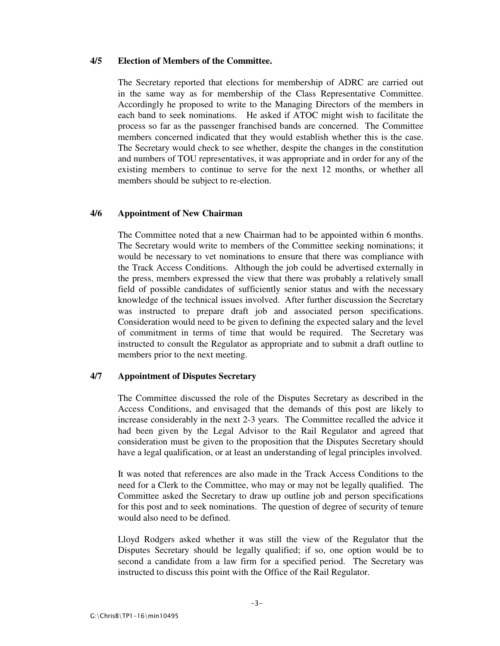# **4/5 Election of Members of the Committee.**

The Secretary reported that elections for membership of ADRC are carried out in the same way as for membership of the Class Representative Committee. Accordingly he proposed to write to the Managing Directors of the members in each band to seek nominations. He asked if ATOC might wish to facilitate the process so far as the passenger franchised bands are concerned. The Committee members concerned indicated that they would establish whether this is the case. The Secretary would check to see whether, despite the changes in the constitution and numbers of TOU representatives, it was appropriate and in order for any of the existing members to continue to serve for the next 12 months, or whether all members should be subject to re-election.

## **4/6 Appointment of New Chairman**

The Committee noted that a new Chairman had to be appointed within 6 months. The Secretary would write to members of the Committee seeking nominations; it would be necessary to vet nominations to ensure that there was compliance with the Track Access Conditions. Although the job could be advertised externally in the press, members expressed the view that there was probably a relatively small field of possible candidates of sufficiently senior status and with the necessary knowledge of the technical issues involved. After further discussion the Secretary was instructed to prepare draft job and associated person specifications. Consideration would need to be given to defining the expected salary and the level of commitment in terms of time that would be required. The Secretary was instructed to consult the Regulator as appropriate and to submit a draft outline to members prior to the next meeting.

# **4/7 Appointment of Disputes Secretary**

The Committee discussed the role of the Disputes Secretary as described in the Access Conditions, and envisaged that the demands of this post are likely to increase considerably in the next 2-3 years. The Committee recalled the advice it had been given by the Legal Advisor to the Rail Regulator and agreed that consideration must be given to the proposition that the Disputes Secretary should have a legal qualification, or at least an understanding of legal principles involved.

It was noted that references are also made in the Track Access Conditions to the need for a Clerk to the Committee, who may or may not be legally qualified. The Committee asked the Secretary to draw up outline job and person specifications for this post and to seek nominations. The question of degree of security of tenure would also need to be defined.

Lloyd Rodgers asked whether it was still the view of the Regulator that the Disputes Secretary should be legally qualified; if so, one option would be to second a candidate from a law firm for a specified period. The Secretary was instructed to discuss this point with the Office of the Rail Regulator.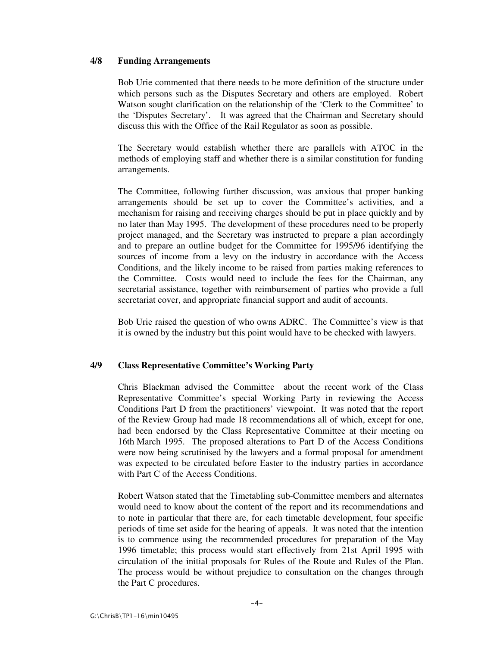## **4/8 Funding Arrangements**

Bob Urie commented that there needs to be more definition of the structure under which persons such as the Disputes Secretary and others are employed. Robert Watson sought clarification on the relationship of the 'Clerk to the Committee' to the 'Disputes Secretary'. It was agreed that the Chairman and Secretary should discuss this with the Office of the Rail Regulator as soon as possible.

The Secretary would establish whether there are parallels with ATOC in the methods of employing staff and whether there is a similar constitution for funding arrangements.

The Committee, following further discussion, was anxious that proper banking arrangements should be set up to cover the Committee's activities, and a mechanism for raising and receiving charges should be put in place quickly and by no later than May 1995. The development of these procedures need to be properly project managed, and the Secretary was instructed to prepare a plan accordingly and to prepare an outline budget for the Committee for 1995/96 identifying the sources of income from a levy on the industry in accordance with the Access Conditions, and the likely income to be raised from parties making references to the Committee. Costs would need to include the fees for the Chairman, any secretarial assistance, together with reimbursement of parties who provide a full secretariat cover, and appropriate financial support and audit of accounts.

Bob Urie raised the question of who owns ADRC. The Committee's view is that it is owned by the industry but this point would have to be checked with lawyers.

# **4/9 Class Representative Committee's Working Party**

Chris Blackman advised the Committee about the recent work of the Class Representative Committee's special Working Party in reviewing the Access Conditions Part D from the practitioners' viewpoint. It was noted that the report of the Review Group had made 18 recommendations all of which, except for one, had been endorsed by the Class Representative Committee at their meeting on 16th March 1995. The proposed alterations to Part D of the Access Conditions were now being scrutinised by the lawyers and a formal proposal for amendment was expected to be circulated before Easter to the industry parties in accordance with Part C of the Access Conditions.

Robert Watson stated that the Timetabling sub-Committee members and alternates would need to know about the content of the report and its recommendations and to note in particular that there are, for each timetable development, four specific periods of time set aside for the hearing of appeals. It was noted that the intention is to commence using the recommended procedures for preparation of the May 1996 timetable; this process would start effectively from 21st April 1995 with circulation of the initial proposals for Rules of the Route and Rules of the Plan. The process would be without prejudice to consultation on the changes through the Part C procedures.